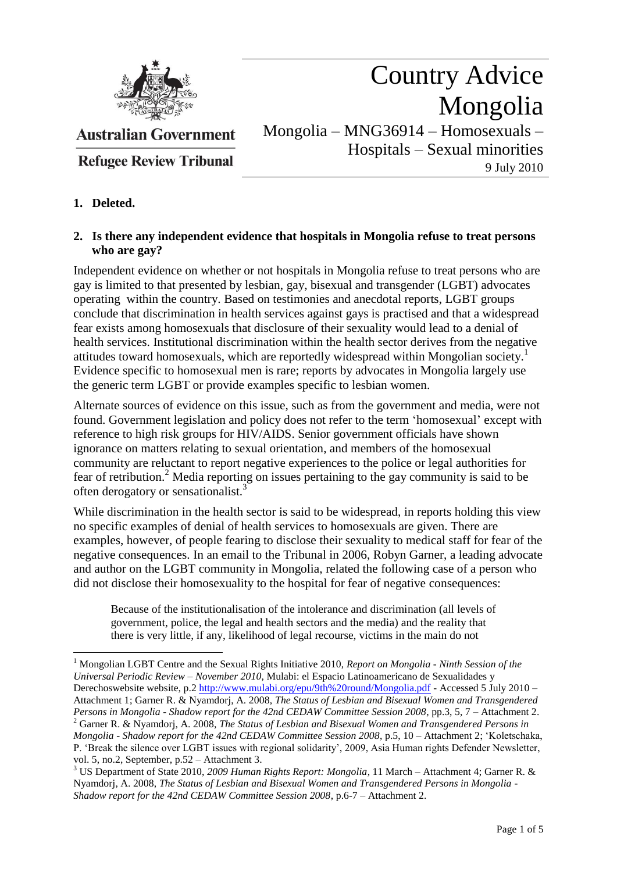

# Country Advice Mongolia

**Australian Government** 

**Refugee Review Tribunal** 

Mongolia – MNG36914 – Homosexuals – Hospitals – Sexual minorities 9 July 2010

## **1. Deleted.**

 $\overline{a}$ 

### **2. Is there any independent evidence that hospitals in Mongolia refuse to treat persons who are gay?**

Independent evidence on whether or not hospitals in Mongolia refuse to treat persons who are gay is limited to that presented by lesbian, gay, bisexual and transgender (LGBT) advocates operating within the country. Based on testimonies and anecdotal reports, LGBT groups conclude that discrimination in health services against gays is practised and that a widespread fear exists among homosexuals that disclosure of their sexuality would lead to a denial of health services. Institutional discrimination within the health sector derives from the negative attitudes toward homosexuals, which are reportedly widespread within Mongolian society.<sup>1</sup> Evidence specific to homosexual men is rare; reports by advocates in Mongolia largely use the generic term LGBT or provide examples specific to lesbian women.

Alternate sources of evidence on this issue, such as from the government and media, were not found. Government legislation and policy does not refer to the term "homosexual" except with reference to high risk groups for HIV/AIDS. Senior government officials have shown ignorance on matters relating to sexual orientation, and members of the homosexual community are reluctant to report negative experiences to the police or legal authorities for fear of retribution.<sup>2</sup> Media reporting on issues pertaining to the gay community is said to be often derogatory or sensationalist.<sup>3</sup>

While discrimination in the health sector is said to be widespread, in reports holding this view no specific examples of denial of health services to homosexuals are given. There are examples, however, of people fearing to disclose their sexuality to medical staff for fear of the negative consequences. In an email to the Tribunal in 2006, Robyn Garner, a leading advocate and author on the LGBT community in Mongolia, related the following case of a person who did not disclose their homosexuality to the hospital for fear of negative consequences:

Because of the institutionalisation of the intolerance and discrimination (all levels of government, police, the legal and health sectors and the media) and the reality that there is very little, if any, likelihood of legal recourse, victims in the main do not

<sup>1</sup> Mongolian LGBT Centre and the Sexual Rights Initiative 2010, *Report on Mongolia - Ninth Session of the Universal Periodic Review – November 2010*, Mulabi: el Espacio Latinoamericano de Sexualidades y Derechoswebsite website, p.2 <http://www.mulabi.org/epu/9th%20round/Mongolia.pdf> - Accessed 5 July 2010 – Attachment 1; Garner R. & Nyamdorj, A. 2008, *The Status of Lesbian and Bisexual Women and Transgendered Persons in Mongolia - Shadow report for the 42nd CEDAW Committee Session 2008*, pp.3, 5, 7 – Attachment 2. <sup>2</sup> Garner R. & Nyamdorj, A. 2008, *The Status of Lesbian and Bisexual Women and Transgendered Persons in Mongolia - Shadow report for the 42nd CEDAW Committee Session 2008*, p.5, 10 – Attachment 2; "Koletschaka, P. "Break the silence over LGBT issues with regional solidarity", 2009, Asia Human rights Defender Newsletter, vol. 5, no.2, September, p.52 – Attachment 3.

<sup>3</sup> US Department of State 2010, *2009 Human Rights Report: Mongolia*, 11 March – Attachment 4; Garner R. & Nyamdorj, A. 2008, *The Status of Lesbian and Bisexual Women and Transgendered Persons in Mongolia - Shadow report for the 42nd CEDAW Committee Session 2008*, p.6-7 – Attachment 2.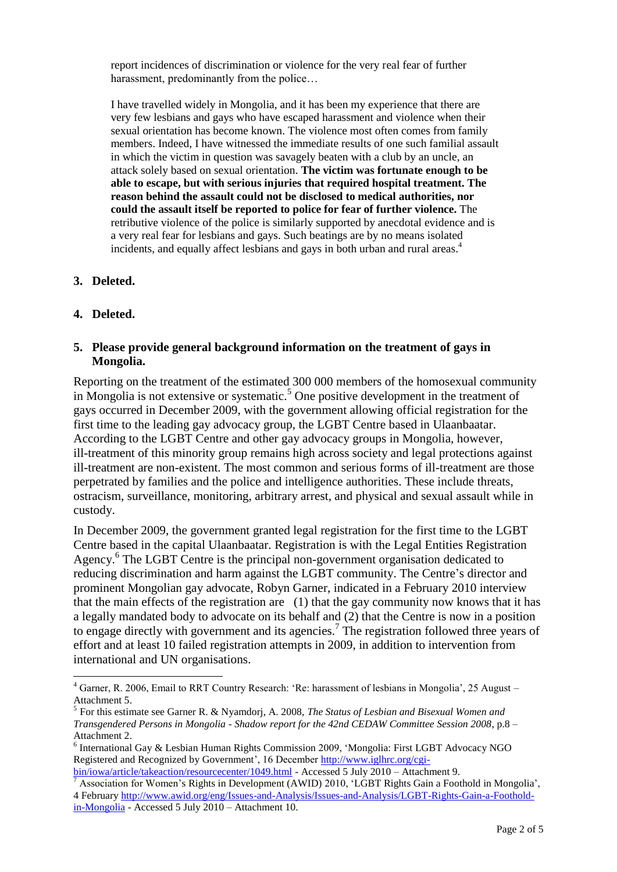report incidences of discrimination or violence for the very real fear of further harassment, predominantly from the police...

I have travelled widely in Mongolia, and it has been my experience that there are very few lesbians and gays who have escaped harassment and violence when their sexual orientation has become known. The violence most often comes from family members. Indeed, I have witnessed the immediate results of one such familial assault in which the victim in question was savagely beaten with a club by an uncle, an attack solely based on sexual orientation. **The victim was fortunate enough to be able to escape, but with serious injuries that required hospital treatment. The reason behind the assault could not be disclosed to medical authorities, nor could the assault itself be reported to police for fear of further violence.** The retributive violence of the police is similarly supported by anecdotal evidence and is a very real fear for lesbians and gays. Such beatings are by no means isolated incidents, and equally affect lesbians and gays in both urban and rural areas.<sup>4</sup>

#### **3. Deleted.**

**4. Deleted.**

 $\overline{a}$ 

#### **5. Please provide general background information on the treatment of gays in Mongolia.**

Reporting on the treatment of the estimated 300 000 members of the homosexual community in Mongolia is not extensive or systematic.<sup>5</sup> One positive development in the treatment of gays occurred in December 2009, with the government allowing official registration for the first time to the leading gay advocacy group, the LGBT Centre based in Ulaanbaatar. According to the LGBT Centre and other gay advocacy groups in Mongolia, however, ill-treatment of this minority group remains high across society and legal protections against ill-treatment are non-existent. The most common and serious forms of ill-treatment are those perpetrated by families and the police and intelligence authorities. These include threats, ostracism, surveillance, monitoring, arbitrary arrest, and physical and sexual assault while in custody.

In December 2009, the government granted legal registration for the first time to the LGBT Centre based in the capital Ulaanbaatar. Registration is with the Legal Entities Registration Agency. 6 The LGBT Centre is the principal non-government organisation dedicated to reducing discrimination and harm against the LGBT community. The Centre"s director and prominent Mongolian gay advocate, Robyn Garner, indicated in a February 2010 interview that the main effects of the registration are (1) that the gay community now knows that it has a legally mandated body to advocate on its behalf and (2) that the Centre is now in a position to engage directly with government and its agencies.<sup>7</sup> The registration followed three years of effort and at least 10 failed registration attempts in 2009, in addition to intervention from international and UN organisations.

<sup>&</sup>lt;sup>4</sup> Garner, R. 2006, Email to RRT Country Research: 'Re: harassment of lesbians in Mongolia', 25 August – Attachment 5.

<sup>5</sup> For this estimate see Garner R. & Nyamdorj, A. 2008, *The Status of Lesbian and Bisexual Women and Transgendered Persons in Mongolia - Shadow report for the 42nd CEDAW Committee Session 2008*, p.8 – Attachment 2.

<sup>&</sup>lt;sup>6</sup> International Gay & Lesbian Human Rights Commission 2009, 'Mongolia: First LGBT Advocacy NGO Registered and Recognized by Government", 16 Decembe[r http://www.iglhrc.org/cgi](http://www.iglhrc.org/cgi-bin/iowa/article/takeaction/resourcecenter/1049.html)[bin/iowa/article/takeaction/resourcecenter/1049.html](http://www.iglhrc.org/cgi-bin/iowa/article/takeaction/resourcecenter/1049.html) - Accessed 5 July 2010 – Attachment 9.

Association for Women's Rights in Development (AWID) 2010, 'LGBT Rights Gain a Foothold in Mongolia', 4 February [http://www.awid.org/eng/Issues-and-Analysis/Issues-and-Analysis/LGBT-Rights-Gain-a-Foothold](http://www.awid.org/eng/Issues-and-Analysis/Issues-and-Analysis/LGBT-Rights-Gain-a-Foothold-in-Mongolia)[in-Mongolia](http://www.awid.org/eng/Issues-and-Analysis/Issues-and-Analysis/LGBT-Rights-Gain-a-Foothold-in-Mongolia) - Accessed 5 July 2010 – Attachment 10.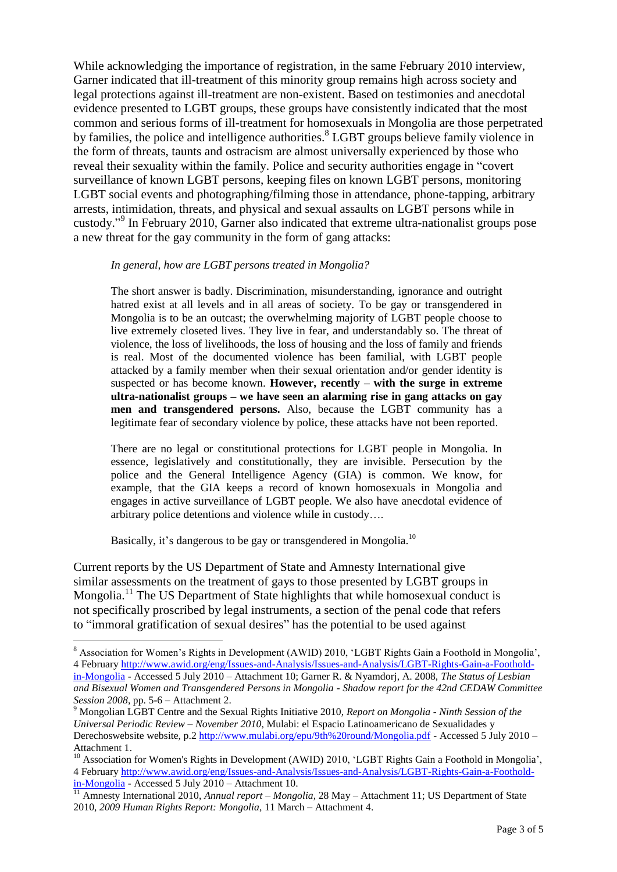While acknowledging the importance of registration, in the same February 2010 interview, Garner indicated that ill-treatment of this minority group remains high across society and legal protections against ill-treatment are non-existent. Based on testimonies and anecdotal evidence presented to LGBT groups, these groups have consistently indicated that the most common and serious forms of ill-treatment for homosexuals in Mongolia are those perpetrated by families, the police and intelligence authorities. <sup>8</sup> LGBT groups believe family violence in the form of threats, taunts and ostracism are almost universally experienced by those who reveal their sexuality within the family. Police and security authorities engage in "covert surveillance of known LGBT persons, keeping files on known LGBT persons, monitoring LGBT social events and photographing/filming those in attendance, phone-tapping, arbitrary arrests, intimidation, threats, and physical and sexual assaults on LGBT persons while in custody."<sup>9</sup> In February 2010, Garner also indicated that extreme ultra-nationalist groups pose a new threat for the gay community in the form of gang attacks:

#### *In general, how are LGBT persons treated in Mongolia?*

The short answer is badly. Discrimination, misunderstanding, ignorance and outright hatred exist at all levels and in all areas of society. To be gay or transgendered in Mongolia is to be an outcast; the overwhelming majority of LGBT people choose to live extremely closeted lives. They live in fear, and understandably so. The threat of violence, the loss of livelihoods, the loss of housing and the loss of family and friends is real. Most of the documented violence has been familial, with LGBT people attacked by a family member when their sexual orientation and/or gender identity is suspected or has become known. **However, recently – with the surge in extreme ultra-nationalist groups – we have seen an alarming rise in gang attacks on gay men and transgendered persons.** Also, because the LGBT community has a legitimate fear of secondary violence by police, these attacks have not been reported.

There are no legal or constitutional protections for LGBT people in Mongolia. In essence, legislatively and constitutionally, they are invisible. Persecution by the police and the General Intelligence Agency (GIA) is common. We know, for example, that the GIA keeps a record of known homosexuals in Mongolia and engages in active surveillance of LGBT people. We also have anecdotal evidence of arbitrary police detentions and violence while in custody….

Basically, it's dangerous to be gay or transgendered in Mongolia.<sup>10</sup>

 $\overline{a}$ 

Current reports by the US Department of State and Amnesty International give similar assessments on the treatment of gays to those presented by LGBT groups in Mongolia.<sup>11</sup> The US Department of State highlights that while homosexual conduct is not specifically proscribed by legal instruments, a section of the penal code that refers to "immoral gratification of sexual desires" has the potential to be used against

<sup>&</sup>lt;sup>8</sup> Association for Women's Rights in Development (AWID) 2010, 'LGBT Rights Gain a Foothold in Mongolia', 4 February [http://www.awid.org/eng/Issues-and-Analysis/Issues-and-Analysis/LGBT-Rights-Gain-a-Foothold](http://www.awid.org/eng/Issues-and-Analysis/Issues-and-Analysis/LGBT-Rights-Gain-a-Foothold-in-Mongolia)[in-Mongolia](http://www.awid.org/eng/Issues-and-Analysis/Issues-and-Analysis/LGBT-Rights-Gain-a-Foothold-in-Mongolia) - Accessed 5 July 2010 – Attachment 10; Garner R. & Nyamdorj, A. 2008, *The Status of Lesbian and Bisexual Women and Transgendered Persons in Mongolia - Shadow report for the 42nd CEDAW Committee Session 2008*, pp. 5-6 – Attachment 2.

<sup>9</sup> Mongolian LGBT Centre and the Sexual Rights Initiative 2010, *Report on Mongolia - Ninth Session of the Universal Periodic Review – November 2010*, Mulabi: el Espacio Latinoamericano de Sexualidades y Derechoswebsite website, p.2 <http://www.mulabi.org/epu/9th%20round/Mongolia.pdf> - Accessed 5 July 2010 – Attachment 1.

<sup>&</sup>lt;sup>10</sup> Association for Women's Rights in Development (AWID) 2010, 'LGBT Rights Gain a Foothold in Mongolia', 4 February [http://www.awid.org/eng/Issues-and-Analysis/Issues-and-Analysis/LGBT-Rights-Gain-a-Foothold](http://www.awid.org/eng/Issues-and-Analysis/Issues-and-Analysis/LGBT-Rights-Gain-a-Foothold-in-Mongolia)[in-Mongolia](http://www.awid.org/eng/Issues-and-Analysis/Issues-and-Analysis/LGBT-Rights-Gain-a-Foothold-in-Mongolia) - Accessed 5 July 2010 – Attachment 10.

<sup>11</sup> Amnesty International 2010, *Annual report – Mongolia*, 28 May – Attachment 11; US Department of State 2010, *2009 Human Rights Report: Mongolia*, 11 March – Attachment 4.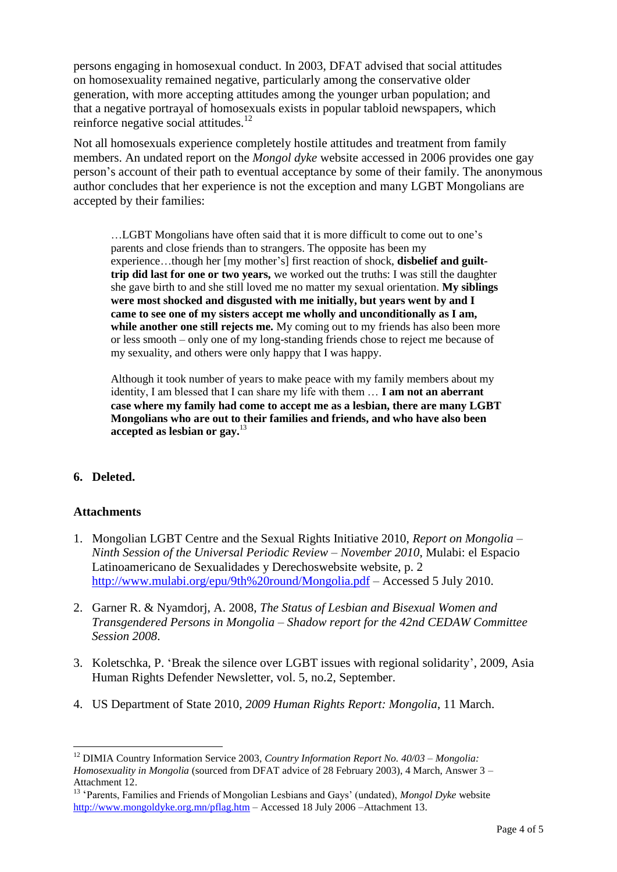persons engaging in homosexual conduct. In 2003, DFAT advised that social attitudes on homosexuality remained negative, particularly among the conservative older generation, with more accepting attitudes among the younger urban population; and that a negative portrayal of homosexuals exists in popular tabloid newspapers, which reinforce negative social attitudes.<sup>12</sup>

Not all homosexuals experience completely hostile attitudes and treatment from family members. An undated report on the *Mongol dyke* website accessed in 2006 provides one gay person"s account of their path to eventual acceptance by some of their family. The anonymous author concludes that her experience is not the exception and many LGBT Mongolians are accepted by their families:

…LGBT Mongolians have often said that it is more difficult to come out to one"s parents and close friends than to strangers. The opposite has been my experience…though her [my mother"s] first reaction of shock, **disbelief and guilttrip did last for one or two years,** we worked out the truths: I was still the daughter she gave birth to and she still loved me no matter my sexual orientation. **My siblings were most shocked and disgusted with me initially, but years went by and I came to see one of my sisters accept me wholly and unconditionally as I am, while another one still rejects me.** My coming out to my friends has also been more or less smooth – only one of my long-standing friends chose to reject me because of my sexuality, and others were only happy that I was happy.

Although it took number of years to make peace with my family members about my identity, I am blessed that I can share my life with them … **I am not an aberrant case where my family had come to accept me as a lesbian, there are many LGBT Mongolians who are out to their families and friends, and who have also been accepted as lesbian or gay.** 13

## **6. Deleted.**

#### **Attachments**

- 1. Mongolian LGBT Centre and the Sexual Rights Initiative 2010, *Report on Mongolia – Ninth Session of the Universal Periodic Review – November 2010*, Mulabi: el Espacio Latinoamericano de Sexualidades y Derechoswebsite website, p. 2 <http://www.mulabi.org/epu/9th%20round/Mongolia.pdf> – Accessed 5 July 2010.
- 2. Garner R. & Nyamdorj, A. 2008, *The Status of Lesbian and Bisexual Women and Transgendered Persons in Mongolia – Shadow report for the 42nd CEDAW Committee Session 2008*.
- 3. Koletschka, P. "Break the silence over LGBT issues with regional solidarity", 2009, Asia Human Rights Defender Newsletter, vol. 5, no.2, September.
- 4. US Department of State 2010*, 2009 Human Rights Report: Mongolia*, 11 March.

 $\overline{a}$ <sup>12</sup> DIMIA Country Information Service 2003, *Country Information Report No. 40/03 – Mongolia: Homosexuality in Mongolia* (sourced from DFAT advice of 28 February 2003), 4 March, Answer 3 – Attachment 12.

<sup>&</sup>lt;sup>13</sup> 'Parents, Families and Friends of Mongolian Lesbians and Gays' (undated), *Mongol Dyke* website <http://www.mongoldyke.org.mn/pflag.htm> – Accessed 18 July 2006 –Attachment 13.